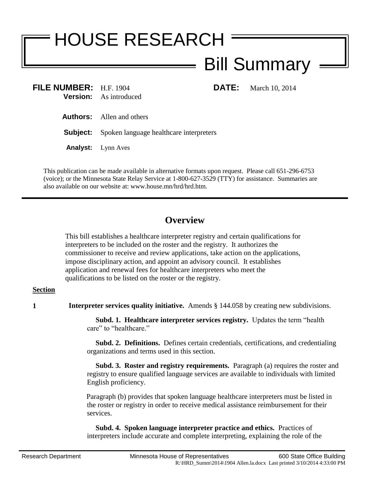# HOUSE RESEARCH Bill Summary

**FILE NUMBER:** H.F. 1904 **DATE:** March 10, 2014 **Version:** As introduced

**Authors:** Allen and others

**Subject:** Spoken language healthcare interpreters

**Analyst:** Lynn Aves

This publication can be made available in alternative formats upon request. Please call 651-296-6753 (voice); or the Minnesota State Relay Service at 1-800-627-3529 (TTY) for assistance. Summaries are also available on our website at: www.house.mn/hrd/hrd.htm.

# **Overview**

This bill establishes a healthcare interpreter registry and certain qualifications for interpreters to be included on the roster and the registry. It authorizes the commissioner to receive and review applications, take action on the applications, impose disciplinary action, and appoint an advisory council. It establishes application and renewal fees for healthcare interpreters who meet the qualifications to be listed on the roster or the registry.

# **Section**

**1 Interpreter services quality initiative.** Amends § 144.058 by creating new subdivisions.

 **Subd. 1. Healthcare interpreter services registry.** Updates the term "health care" to "healthcare"

 **Subd. 2. Definitions.** Defines certain credentials, certifications, and credentialing organizations and terms used in this section.

 **Subd. 3. Roster and registry requirements.** Paragraph (a) requires the roster and registry to ensure qualified language services are available to individuals with limited English proficiency.

Paragraph (b) provides that spoken language healthcare interpreters must be listed in the roster or registry in order to receive medical assistance reimbursement for their services.

 **Subd. 4. Spoken language interpreter practice and ethics.** Practices of interpreters include accurate and complete interpreting, explaining the role of the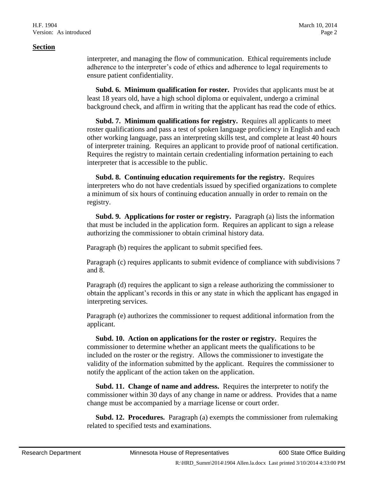#### **Section**

interpreter, and managing the flow of communication. Ethical requirements include adherence to the interpreter's code of ethics and adherence to legal requirements to ensure patient confidentiality.

 **Subd. 6. Minimum qualification for roster.** Provides that applicants must be at least 18 years old, have a high school diploma or equivalent, undergo a criminal background check, and affirm in writing that the applicant has read the code of ethics.

 **Subd. 7. Minimum qualifications for registry.** Requires all applicants to meet roster qualifications and pass a test of spoken language proficiency in English and each other working language, pass an interpreting skills test, and complete at least 40 hours of interpreter training. Requires an applicant to provide proof of national certification. Requires the registry to maintain certain credentialing information pertaining to each interpreter that is accessible to the public.

 **Subd. 8. Continuing education requirements for the registry.** Requires interpreters who do not have credentials issued by specified organizations to complete a minimum of six hours of continuing education annually in order to remain on the registry.

 **Subd. 9. Applications for roster or registry.** Paragraph (a) lists the information that must be included in the application form. Requires an applicant to sign a release authorizing the commissioner to obtain criminal history data.

Paragraph (b) requires the applicant to submit specified fees.

Paragraph (c) requires applicants to submit evidence of compliance with subdivisions 7 and 8.

Paragraph (d) requires the applicant to sign a release authorizing the commissioner to obtain the applicant's records in this or any state in which the applicant has engaged in interpreting services.

Paragraph (e) authorizes the commissioner to request additional information from the applicant.

 **Subd. 10. Action on applications for the roster or registry.** Requires the commissioner to determine whether an applicant meets the qualifications to be included on the roster or the registry. Allows the commissioner to investigate the validity of the information submitted by the applicant. Requires the commissioner to notify the applicant of the action taken on the application.

 **Subd. 11. Change of name and address.** Requires the interpreter to notify the commissioner within 30 days of any change in name or address. Provides that a name change must be accompanied by a marriage license or court order.

 **Subd. 12. Procedures.** Paragraph (a) exempts the commissioner from rulemaking related to specified tests and examinations.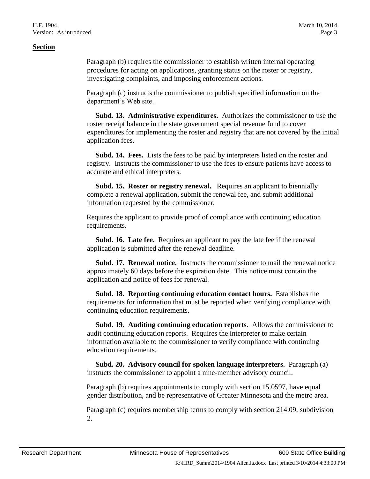## **Section**

Paragraph (b) requires the commissioner to establish written internal operating procedures for acting on applications, granting status on the roster or registry, investigating complaints, and imposing enforcement actions.

Paragraph (c) instructs the commissioner to publish specified information on the department's Web site.

 **Subd. 13. Administrative expenditures.** Authorizes the commissioner to use the roster receipt balance in the state government special revenue fund to cover expenditures for implementing the roster and registry that are not covered by the initial application fees.

 **Subd. 14. Fees.** Lists the fees to be paid by interpreters listed on the roster and registry. Instructs the commissioner to use the fees to ensure patients have access to accurate and ethical interpreters.

 **Subd. 15. Roster or registry renewal.** Requires an applicant to biennially complete a renewal application, submit the renewal fee, and submit additional information requested by the commissioner.

Requires the applicant to provide proof of compliance with continuing education requirements.

 **Subd. 16. Late fee.** Requires an applicant to pay the late fee if the renewal application is submitted after the renewal deadline.

 **Subd. 17. Renewal notice.** Instructs the commissioner to mail the renewal notice approximately 60 days before the expiration date. This notice must contain the application and notice of fees for renewal.

 **Subd. 18. Reporting continuing education contact hours.** Establishes the requirements for information that must be reported when verifying compliance with continuing education requirements.

 **Subd. 19. Auditing continuing education reports.** Allows the commissioner to audit continuing education reports. Requires the interpreter to make certain information available to the commissioner to verify compliance with continuing education requirements.

 **Subd. 20. Advisory council for spoken language interpreters.** Paragraph (a) instructs the commissioner to appoint a nine-member advisory council.

Paragraph (b) requires appointments to comply with section 15.0597, have equal gender distribution, and be representative of Greater Minnesota and the metro area.

Paragraph (c) requires membership terms to comply with section 214.09, subdivision 2.